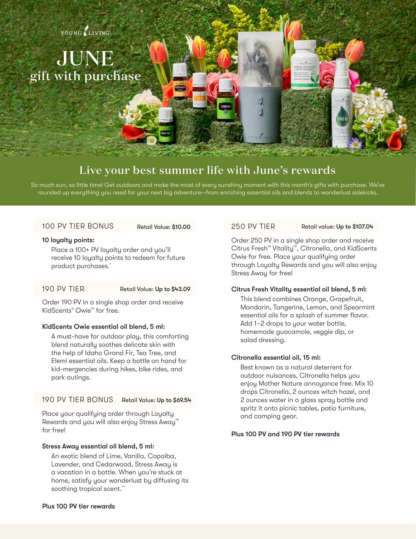

# JUNE gift with purchase

## Live your best summer life with June's rewards

So much sun, so little time! Get outdoors and make the most of every sunshiny moment with this month's gifts with purchase. We've rounded up everything you need for your next big adventure—from enriching essential oils and blends to wanderlust sidekicks.

### 100 PV TIER BONUS

#### 10 loyalty points:

Place a 100+ PV loyalty order and you'll receive 10 loyalty points to redeem for future product purchases.\*

#### 190 PV TIER Retail Value: Up to \$43.09

Order 190 PV in a single shop order and receive KidScents® Owie™ for free.

#### KidScents Owie essential oil blend, 5 ml:

A must-have for outdoor play, this comforting blend naturally soothes delicate skin with the help of Idaho Grand Fir, Tea Tree, and Elemi essential oils. Keep a bottle on hand for kid-mergencies during hikes, bike rides, and park outings.

#### 190 PV TIER BONUS Retail Value: Up to \$69.54

Place your qualifying order through Loyalty Rewards and you will also enjoy Stress Away™ for free!

#### Stress Away essential oil blend, 5 ml:

An exotic blend of Lime, Vanilla, Copaiba, Lavender, and Cedarwood, Stress Away is a vacation in a bottle. When you're stuck at home, satisfy your wanderlust by diffusing its soothing tropical scent.\*\*

#### Retail Value: \$10.00 250 PV TIER

#### Retail value: Up to \$107.04

Order 250 PV in a single shop order and receive Citrus Fresh™ Vitality™, Citronella, and KidScents Owie for free. Place your qualifying order through Loyalty Rewards and you will also enjoy Stress Away for free!

#### Citrus Fresh Vitality essential oil blend, 5 ml:

This blend combines Orange, Grapefruit, Mandarin, Tangerine, Lemon, and Spearmint essential oils for a splash of summer flavor. Add 1–2 drops to your water bottle, homemade guacamole, veggie dip, or salad dressing.

#### Citronella essential oil, 15 ml:

Best known as a natural deterrent for outdoor nuisances, Citronella helps you enjoy Mother Nature annoyance free. Mix 10 drops Citronella, 2 ounces witch hazel, and 2 ounces water in a glass spray bottle and spritz it onto picnic tables, patio furniture, and camping gear.

#### Plus 100 PV and 190 PV tier rewards

#### Plus 100 PV tier rewards